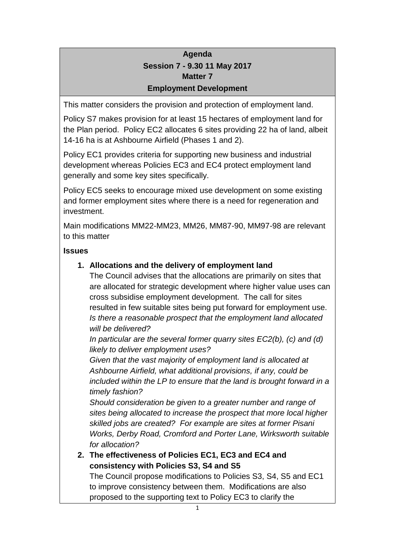## **Agenda Session 7 - 9.30 11 May 2017 Matter 7 Employment Development**

This matter considers the provision and protection of employment land.

Policy S7 makes provision for at least 15 hectares of employment land for the Plan period. Policy EC2 allocates 6 sites providing 22 ha of land, albeit 14-16 ha is at Ashbourne Airfield (Phases 1 and 2).

Policy EC1 provides criteria for supporting new business and industrial development whereas Policies EC3 and EC4 protect employment land generally and some key sites specifically.

Policy EC5 seeks to encourage mixed use development on some existing and former employment sites where there is a need for regeneration and investment.

Main modifications MM22-MM23, MM26, MM87-90, MM97-98 are relevant to this matter

#### **Issues**

#### **1. Allocations and the delivery of employment land**

The Council advises that the allocations are primarily on sites that are allocated for strategic development where higher value uses can cross subsidise employment development. The call for sites resulted in few suitable sites being put forward for employment use. *Is there a reasonable prospect that the employment land allocated will be delivered?*

*In particular are the several former quarry sites EC2(b), (c) and (d) likely to deliver employment uses?*

*Given that the vast majority of employment land is allocated at Ashbourne Airfield, what additional provisions, if any, could be included within the LP to ensure that the land is brought forward in a timely fashion?*

*Should consideration be given to a greater number and range of sites being allocated to increase the prospect that more local higher skilled jobs are created? For example are sites at former Pisani Works, Derby Road, Cromford and Porter Lane, Wirksworth suitable for allocation?*

**2. The effectiveness of Policies EC1, EC3 and EC4 and consistency with Policies S3, S4 and S5** The Council propose modifications to Policies S3, S4, S5 and EC1 to improve consistency between them. Modifications are also proposed to the supporting text to Policy EC3 to clarify the